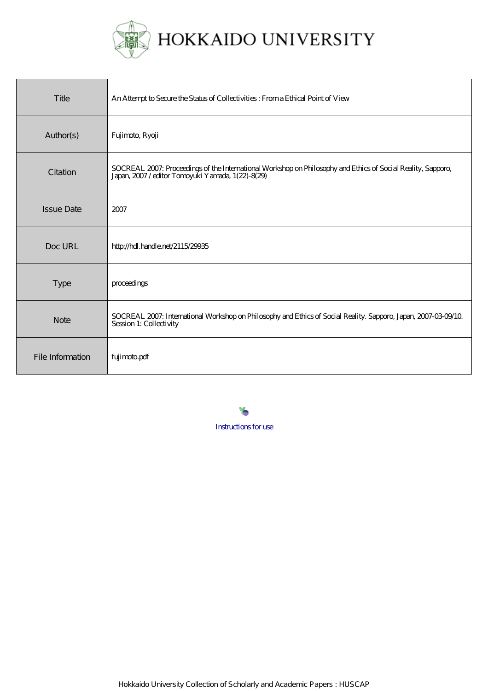

HOKKAIDO UNIVERSITY

| Title             | An Attempt to Secure the Status of Collectivities: From a Ethical Point of View                                                                              |
|-------------------|--------------------------------------------------------------------------------------------------------------------------------------------------------------|
| Author(s)         | Fujimoto, Ryoji                                                                                                                                              |
| Citation          | SOCREAL 2007: Proceedings of the International Workshop on Philosophy and Ethics of Social Reality, Sapporo, Japan, 2007/editor Tomoyuki Yamada, 1(22)-8(29) |
| <b>Issue Date</b> | 2007                                                                                                                                                         |
| Doc URL           | http://hdl.handle.net/2115/29935                                                                                                                             |
| Type              | proceedings                                                                                                                                                  |
| <b>Note</b>       | SOCREAL 2007: International Workshop on Philosophy and Ethics of Social Reality. Sapporo, Japan, 2007-03-09/10<br>Session 1: Collectivity                    |
| File Information  | fujimotopdf                                                                                                                                                  |

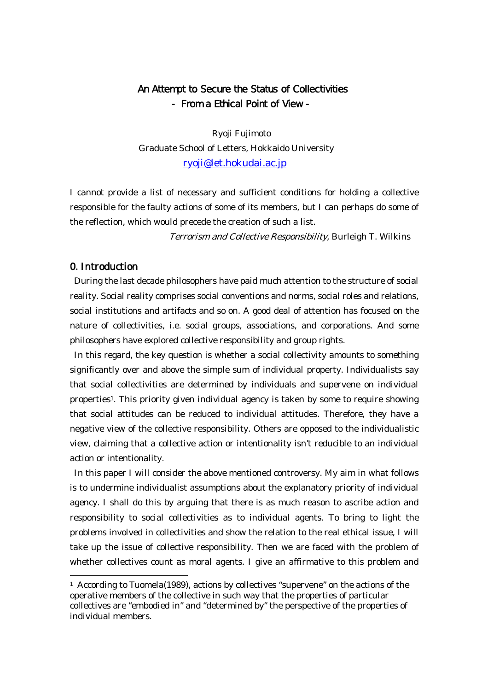# An Attempt to Secure the Status of Collectivities - From a Ethical Point of View -

Ryoji Fujimoto Graduate School of Letters, Hokkaido University ryoji@let.hokudai.ac.jp

I cannot provide a list of necessary and sufficient conditions for holding a collective responsible for the faulty actions of some of its members, but I can perhaps do some of the reflection, which would precede the creation of such a list.

Terrorism and Collective Responsibility, Burleigh T. Wilkins

# 0. Introduction

 $\overline{a}$ 

During the last decade philosophers have paid much attention to the structure of social reality. Social reality comprises social conventions and norms, social roles and relations, social institutions and artifacts and so on. A good deal of attention has focused on the nature of collectivities, i.e. social groups, associations, and corporations. And some philosophers have explored collective responsibility and group rights.

In this regard, the key question is whether a social collectivity amounts to something significantly over and above the simple sum of individual property. Individualists say that social collectivities are determined by individuals and supervene on individual properties1. This priority given individual agency is taken by some to require showing that social attitudes can be reduced to individual attitudes. Therefore, they have a negative view of the collective responsibility. Others are opposed to the individualistic view, claiming that a collective action or intentionality isn't reducible to an individual action or intentionality.

In this paper I will consider the above mentioned controversy. My aim in what follows is to undermine individualist assumptions about the explanatory priority of individual agency. I shall do this by arguing that there is as much reason to ascribe action and responsibility to social collectivities as to individual agents. To bring to light the problems involved in collectivities and show the relation to the real ethical issue, I will take up the issue of collective responsibility. Then we are faced with the problem of whether collectives count as moral agents. I give an affirmative to this problem and

<sup>&</sup>lt;sup>1</sup> According to Tuomela(1989), actions by collectives "supervene" on the actions of the operative members of the collective in such way that the properties of particular collectives are "embodied in" and "determined by" the perspective of the properties of individual members.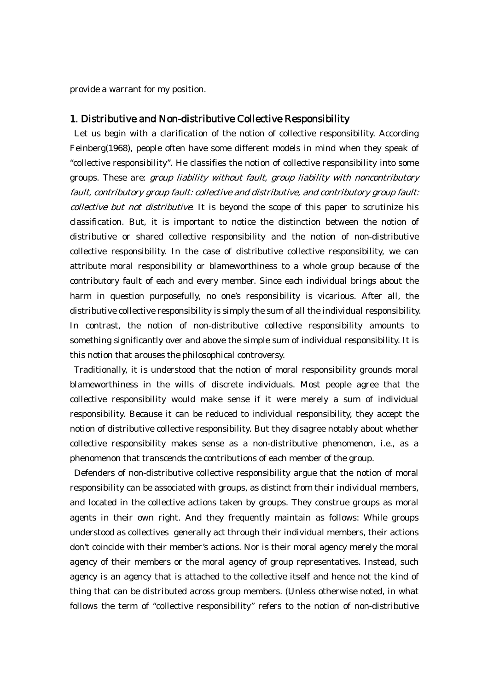provide a warrant for my position.

## 1. Distributive and Non-distributive Collective Responsibility

Let us begin with a clarification of the notion of collective responsibility. According Feinberg(1968), people often have some different models in mind when they speak of "collective responsibility". He classifies the notion of collective responsibility into some groups. These are: group liability without fault, group liability with noncontributory fault, contributory group fault: collective and distributive, and contributory group fault: collective but not distributive. It is beyond the scope of this paper to scrutinize his classification. But, it is important to notice the distinction between the notion of distributive or shared collective responsibility and the notion of non-distributive collective responsibility. In the case of distributive collective responsibility, we can attribute moral responsibility or blameworthiness to a whole group because of the contributory fault of each and every member. Since each individual brings about the harm in question purposefully, no one's responsibility is vicarious. After all, the distributive collective responsibility is simply the sum of all the individual responsibility. In contrast, the notion of non-distributive collective responsibility amounts to something significantly over and above the simple sum of individual responsibility. It is this notion that arouses the philosophical controversy.

 Traditionally, it is understood that the notion of moral responsibility grounds moral blameworthiness in the wills of discrete individuals. Most people agree that the collective responsibility would make sense if it were merely a sum of individual responsibility. Because it can be reduced to individual responsibility, they accept the notion of distributive collective responsibility. But they disagree notably about whether collective responsibility makes sense as a non-distributive phenomenon, i.e., as a phenomenon that transcends the contributions of each member of the group.

 Defenders of non-distributive collective responsibility argue that the notion of moral responsibility can be associated with groups, as distinct from their individual members, and located in the collective actions taken by groups. They construe groups as moral agents in their own right. And they frequently maintain as follows: While groups understood as collectives generally act through their individual members, their actions don't coincide with their member's actions. Nor is their moral agency merely the moral agency of their members or the moral agency of group representatives. Instead, such agency is an agency that is attached to the collective itself and hence not the kind of thing that can be distributed across group members. (Unless otherwise noted, in what follows the term of "collective responsibility" refers to the notion of non-distributive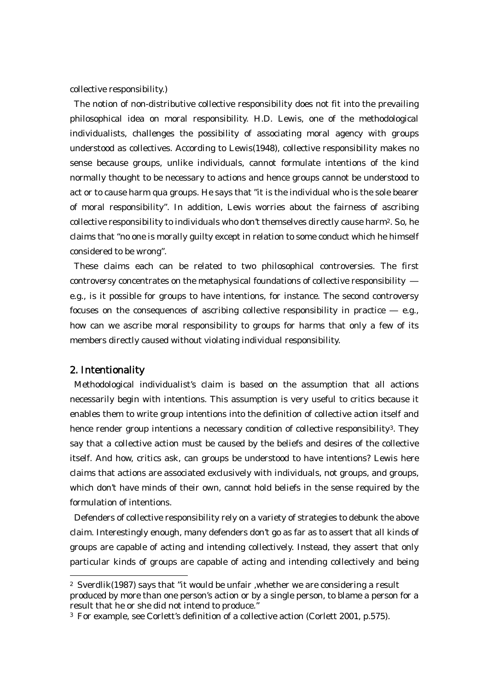collective responsibility.)

The notion of non-distributive collective responsibility does not fit into the prevailing philosophical idea on moral responsibility. H.D. Lewis, one of the methodological individualists, challenges the possibility of associating moral agency with groups understood as collectives. According to Lewis(1948), collective responsibility makes no sense because groups, unlike individuals, cannot formulate intentions of the kind normally thought to be necessary to actions and hence groups cannot be understood to act or to cause harm qua groups. He says that "it is the individual who is the sole bearer of moral responsibility". In addition, Lewis worries about the fairness of ascribing collective responsibility to individuals who don't themselves directly cause harm2. So, he claims that "no one is morally guilty except in relation to some conduct which he himself considered to be wrong".

These claims each can be related to two philosophical controversies. The first controversy concentrates on the metaphysical foundations of collective responsibility e.g., is it possible for groups to have intentions, for instance. The second controversy focuses on the consequences of ascribing collective responsibility in practice e.g., how can we ascribe moral responsibility to groups for harms that only a few of its members directly caused without violating individual responsibility.

#### 2. Intentionality

 $\overline{a}$ 

Methodological individualist's claim is based on the assumption that all actions necessarily begin with intentions. This assumption is very useful to critics because it enables them to write group intentions into the definition of collective action itself and hence render group intentions a necessary condition of collective responsibility<sup>3</sup>. They say that a collective action must be caused by the beliefs and desires of the collective itself. And how, critics ask, can groups be understood to have intentions? Lewis here claims that actions are associated exclusively with individuals, not groups, and groups, which don't have minds of their own, cannot hold beliefs in the sense required by the formulation of intentions.

Defenders of collective responsibility rely on a variety of strategies to debunk the above claim. Interestingly enough, many defenders don't go as far as to assert that all kinds of groups are capable of acting and intending collectively. Instead, they assert that only particular kinds of groups are capable of acting and intending collectively and being

<sup>2</sup> Sverdlik(1987) says that "it would be unfair ,whether we are considering a result produced by more than one person's action or by a single person, to blame a person for a result that he or she did not intend to produce."

<sup>3</sup> For example, see Corlett's definition of a collective action (Corlett 2001, p.575).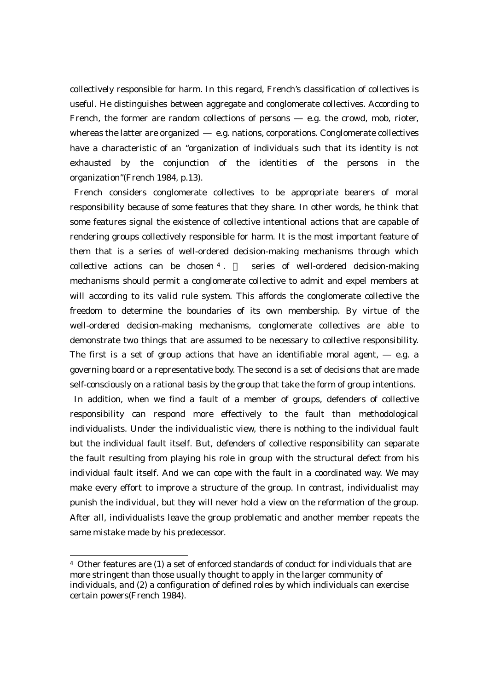collectively responsible for harm. In this regard, French's classification of collectives is useful. He distinguishes between aggregate and conglomerate collectives. According to French, the former are random collections of persons e.g. the crowd, mob, rioter, whereas the latter are organized e.g. nations, corporations. Conglomerate collectives have a characteristic of an "organization of individuals such that its identity is not exhausted by the conjunction of the identities of the persons in the organization"(French 1984, p.13).

French considers conglomerate collectives to be appropriate bearers of moral responsibility because of some features that they share. In other words, he think that some features signal the existence of collective intentional actions that are capable of rendering groups collectively responsible for harm. It is the most important feature of them that is a series of well-ordered decision-making mechanisms through which collective actions can be chosen  $4 \times 1$  series of well-ordered decision-making mechanisms should permit a conglomerate collective to admit and expel members at will according to its valid rule system. This affords the conglomerate collective the freedom to determine the boundaries of its own membership. By virtue of the well-ordered decision-making mechanisms, conglomerate collectives are able to demonstrate two things that are assumed to be necessary to collective responsibility. The first is a set of group actions that have an identifiable moral agent, e.g. a governing board or a representative body. The second is a set of decisions that are made self-consciously on a rational basis by the group that take the form of group intentions.

 In addition, when we find a fault of a member of groups, defenders of collective responsibility can respond more effectively to the fault than methodological individualists. Under the individualistic view, there is nothing to the individual fault but the individual fault itself. But, defenders of collective responsibility can separate the fault resulting from playing his role in group with the structural defect from his individual fault itself. And we can cope with the fault in a coordinated way. We may make every effort to improve a structure of the group. In contrast, individualist may punish the individual, but they will never hold a view on the reformation of the group. After all, individualists leave the group problematic and another member repeats the same mistake made by his predecessor.

 $\overline{a}$ 

<sup>4</sup> Other features are (1) a set of enforced standards of conduct for individuals that are more stringent than those usually thought to apply in the larger community of individuals, and (2) a configuration of defined roles by which individuals can exercise certain powers(French 1984).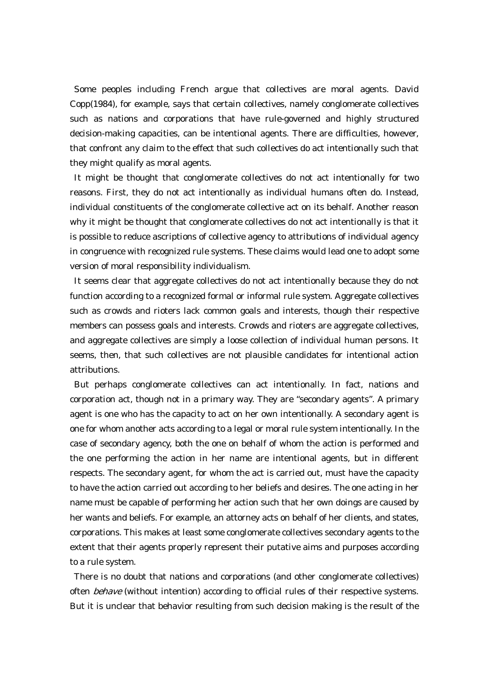Some peoples including French argue that collectives are moral agents. David Copp(1984), for example, says that certain collectives, namely conglomerate collectives such as nations and corporations that have rule-governed and highly structured decision-making capacities, can be intentional agents. There are difficulties, however, that confront any claim to the effect that such collectives do act intentionally such that they might qualify as moral agents.

 It might be thought that conglomerate collectives do not act intentionally for two reasons. First, they do not act intentionally as individual humans often do. Instead, individual constituents of the conglomerate collective act on its behalf. Another reason why it might be thought that conglomerate collectives do not act intentionally is that it is possible to reduce ascriptions of collective agency to attributions of individual agency in congruence with recognized rule systems. These claims would lead one to adopt some version of moral responsibility individualism.

It seems clear that aggregate collectives do not act intentionally because they do not function according to a recognized formal or informal rule system. Aggregate collectives such as crowds and rioters lack common goals and interests, though their respective members can possess goals and interests. Crowds and rioters are aggregate collectives, and aggregate collectives are simply a loose collection of individual human persons. It seems, then, that such collectives are not plausible candidates for intentional action attributions.

But perhaps conglomerate collectives can act intentionally. In fact, nations and corporation act, though not in a primary way. They are "secondary agents". A primary agent is one who has the capacity to act on her own intentionally. A secondary agent is one for whom another acts according to a legal or moral rule system intentionally. In the case of secondary agency, both the one on behalf of whom the action is performed and the one performing the action in her name are intentional agents, but in different respects. The secondary agent, for whom the act is carried out, must have the capacity to have the action carried out according to her beliefs and desires. The one acting in her name must be capable of performing her action such that her own doings are caused by her wants and beliefs. For example, an attorney acts on behalf of her clients, and states, corporations. This makes at least some conglomerate collectives secondary agents to the extent that their agents properly represent their putative aims and purposes according to a rule system.

There is no doubt that nations and corporations (and other conglomerate collectives) often *behave* (without intention) according to official rules of their respective systems. But it is unclear that behavior resulting from such decision making is the result of the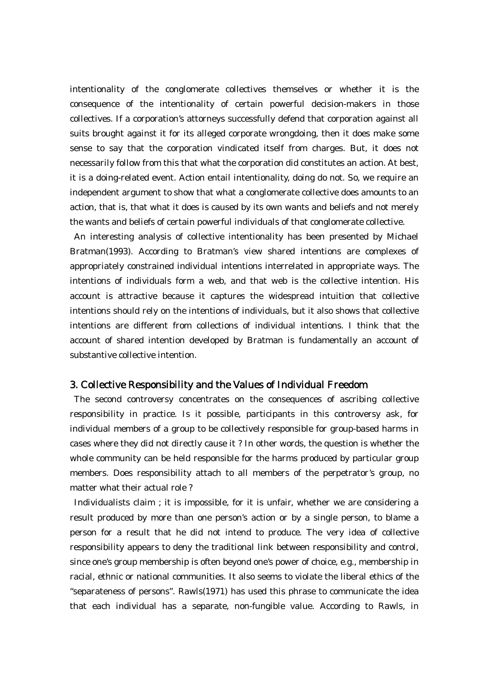intentionality of the conglomerate collectives themselves or whether it is the consequence of the intentionality of certain powerful decision-makers in those collectives. If a corporation's attorneys successfully defend that corporation against all suits brought against it for its alleged corporate wrongdoing, then it does make some sense to say that the corporation vindicated itself from charges. But, it does not necessarily follow from this that what the corporation did constitutes an action. At best, it is a doing-related event. Action entail intentionality, doing do not. So, we require an independent argument to show that what a conglomerate collective does amounts to an action, that is, that what it does is caused by its own wants and beliefs and not merely the wants and beliefs of certain powerful individuals of that conglomerate collective.

An interesting analysis of collective intentionality has been presented by Michael Bratman(1993). According to Bratman's view shared intentions are complexes of appropriately constrained individual intentions interrelated in appropriate ways. The intentions of individuals form a web, and that web is the collective intention. His account is attractive because it captures the widespread intuition that collective intentions should rely on the intentions of individuals, but it also shows that collective intentions are different from collections of individual intentions. I think that the account of shared intention developed by Bratman is fundamentally an account of substantive collective intention.

### 3. Collective Responsibility and the Values of Individual Freedom

The second controversy concentrates on the consequences of ascribing collective responsibility in practice. Is it possible, participants in this controversy ask, for individual members of a group to be collectively responsible for group-based harms in cases where they did not directly cause it ? In other words, the question is whether the whole community can be held responsible for the harms produced by particular group members. Does responsibility attach to all members of the perpetrator's group, no matter what their actual role ?

Individualists claim ; it is impossible, for it is unfair, whether we are considering a result produced by more than one person's action or by a single person, to blame a person for a result that he did not intend to produce. The very idea of collective responsibility appears to deny the traditional link between responsibility and control, since one's group membership is often beyond one's power of choice, e.g., membership in racial, ethnic or national communities. It also seems to violate the liberal ethics of the "separateness of persons". Rawls(1971) has used this phrase to communicate the idea that each individual has a separate, non-fungible value. According to Rawls, in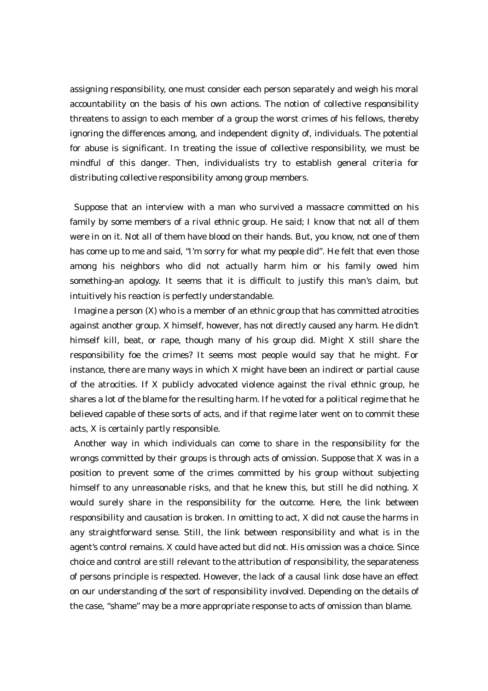assigning responsibility, one must consider each person separately and weigh his moral accountability on the basis of his own actions. The notion of collective responsibility threatens to assign to each member of a group the worst crimes of his fellows, thereby ignoring the differences among, and independent dignity of, individuals. The potential for abuse is significant. In treating the issue of collective responsibility, we must be mindful of this danger. Then, individualists try to establish general criteria for distributing collective responsibility among group members.

Suppose that an interview with a man who survived a massacre committed on his family by some members of a rival ethnic group. He said; I know that not all of them were in on it. Not all of them have blood on their hands. But, you know, not one of them has come up to me and said, "I'm sorry for what my people did". He felt that even those among his neighbors who did not actually harm him or his family owed him something-an apology. It seems that it is difficult to justify this man's claim, but intuitively his reaction is perfectly understandable.

Imagine a person (X) who is a member of an ethnic group that has committed atrocities against another group. X himself, however, has not directly caused any harm. He didn't himself kill, beat, or rape, though many of his group did. Might X still share the responsibility foe the crimes? It seems most people would say that he might. For instance, there are many ways in which X might have been an indirect or partial cause of the atrocities. If X publicly advocated violence against the rival ethnic group, he shares a lot of the blame for the resulting harm. If he voted for a political regime that he believed capable of these sorts of acts, and if that regime later went on to commit these acts, X is certainly partly responsible.

Another way in which individuals can come to share in the responsibility for the wrongs committed by their groups is through acts of omission. Suppose that X was in a position to prevent some of the crimes committed by his group without subjecting himself to any unreasonable risks, and that he knew this, but still he did nothing. X would surely share in the responsibility for the outcome. Here, the link between responsibility and causation is broken. In omitting to act, X did not cause the harms in any straightforward sense. Still, the link between responsibility and what is in the agent's control remains. X could have acted but did not. His omission was a choice. Since choice and control are still relevant to the attribution of responsibility, the separateness of persons principle is respected. However, the lack of a causal link dose have an effect on our understanding of the sort of responsibility involved. Depending on the details of the case, "shame" may be a more appropriate response to acts of omission than blame.